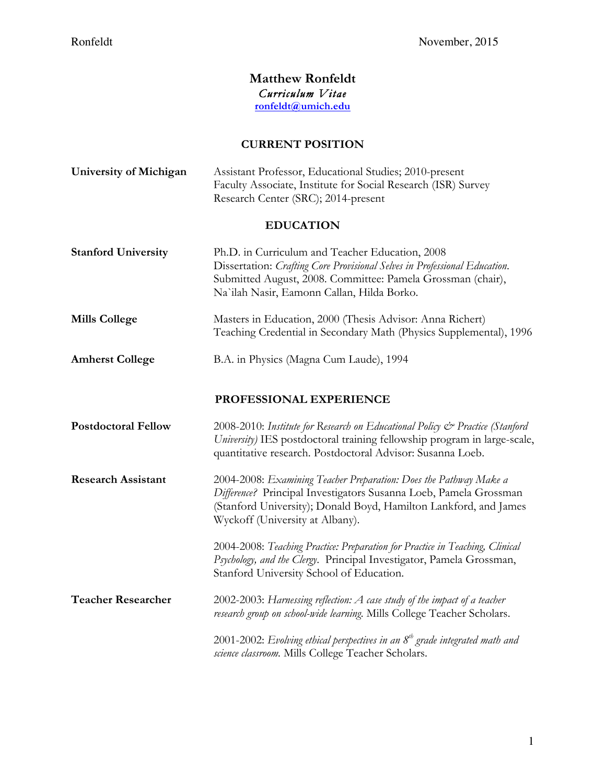## **Matthew Ronfeldt** *Curriculum Vitae*  **ronfeldt@umich.edu**

# **CURRENT POSITION**

| <b>University of Michigan</b> | Assistant Professor, Educational Studies; 2010-present<br>Faculty Associate, Institute for Social Research (ISR) Survey<br>Research Center (SRC); 2014-present                                                                                |
|-------------------------------|-----------------------------------------------------------------------------------------------------------------------------------------------------------------------------------------------------------------------------------------------|
| <b>EDUCATION</b>              |                                                                                                                                                                                                                                               |
| <b>Stanford University</b>    | Ph.D. in Curriculum and Teacher Education, 2008<br>Dissertation: Crafting Core Provisional Selves in Professional Education.<br>Submitted August, 2008. Committee: Pamela Grossman (chair),<br>Na`ilah Nasir, Eamonn Callan, Hilda Borko.     |
| <b>Mills College</b>          | Masters in Education, 2000 (Thesis Advisor: Anna Richert)<br>Teaching Credential in Secondary Math (Physics Supplemental), 1996                                                                                                               |
| <b>Amherst College</b>        | B.A. in Physics (Magna Cum Laude), 1994                                                                                                                                                                                                       |
|                               | PROFESSIONAL EXPERIENCE                                                                                                                                                                                                                       |
| <b>Postdoctoral Fellow</b>    | 2008-2010: Institute for Research on Educational Policy & Practice (Stanford<br>University) IES postdoctoral training fellowship program in large-scale,<br>quantitative research. Postdoctoral Advisor: Susanna Loeb.                        |
| <b>Research Assistant</b>     | 2004-2008: Examining Teacher Preparation: Does the Pathway Make a<br>Difference? Principal Investigators Susanna Loeb, Pamela Grossman<br>(Stanford University); Donald Boyd, Hamilton Lankford, and James<br>Wyckoff (University at Albany). |
|                               | 2004-2008: Teaching Practice: Preparation for Practice in Teaching, Clinical<br>Psychology, and the Clergy. Principal Investigator, Pamela Grossman,<br>Stanford University School of Education.                                              |
| <b>Teacher Researcher</b>     | 2002-2003: Harnessing reflection: A case study of the impact of a teacher<br>research group on school-wide learning. Mills College Teacher Scholars.                                                                                          |
|                               | 2001-2002: Evolving ethical perspectives in an $8th$ grade integrated math and<br>science classroom. Mills College Teacher Scholars.                                                                                                          |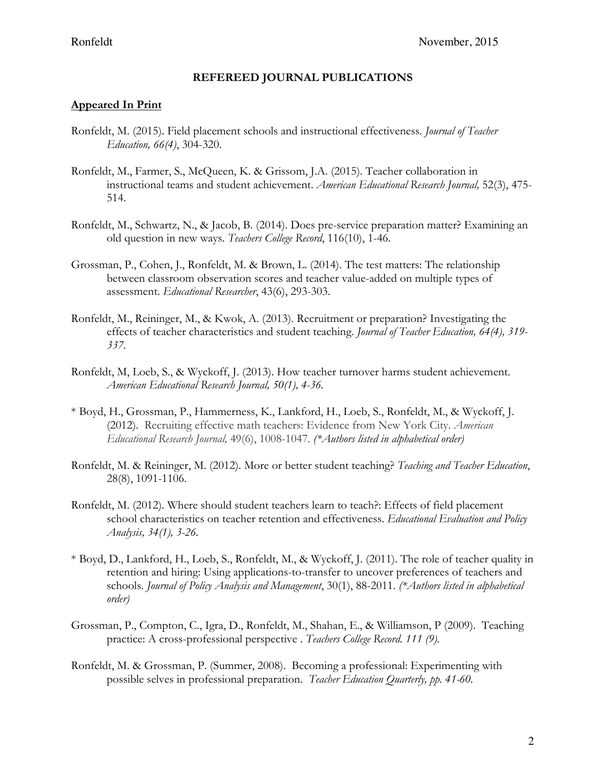### **REFEREED JOURNAL PUBLICATIONS**

#### **Appeared In Print**

- Ronfeldt, M. (2015). Field placement schools and instructional effectiveness. *Journal of Teacher Education, 66(4)*, 304-320.
- Ronfeldt, M., Farmer, S., McQueen, K. & Grissom, J.A. (2015). Teacher collaboration in instructional teams and student achievement. *American Educational Research Journal,* 52(3), 475- 514.
- Ronfeldt, M., Schwartz, N., & Jacob, B. (2014). Does pre-service preparation matter? Examining an old question in new ways. *Teachers College Record*, 116(10), 1-46.
- Grossman, P., Cohen, J., Ronfeldt, M. & Brown, L. (2014). The test matters: The relationship between classroom observation scores and teacher value-added on multiple types of assessment. *Educational Researcher*, 43(6), 293-303.
- Ronfeldt, M., Reininger, M., & Kwok, A. (2013). Recruitment or preparation? Investigating the effects of teacher characteristics and student teaching. *Journal of Teacher Education, 64(4), 319- 337.*
- Ronfeldt, M, Loeb, S., & Wyckoff, J. (2013). How teacher turnover harms student achievement. *American Educational Research Journal, 50(1), 4-36.*
- \* Boyd, H., Grossman, P., Hammerness, K., Lankford, H., Loeb, S., Ronfeldt, M., & Wyckoff, J. (2012). Recruiting effective math teachers: Evidence from New York City. *American Educational Research Journal,* 49(6), 1008-1047*. (\*Authors listed in alphabetical order)*
- Ronfeldt, M. & Reininger, M. (2012). More or better student teaching? *Teaching and Teacher Education*, 28(8), 1091-1106.
- Ronfeldt, M. (2012). Where should student teachers learn to teach?: Effects of field placement school characteristics on teacher retention and effectiveness. *Educational Evaluation and Policy Analysis, 34(1), 3-26.*
- \* Boyd, D., Lankford, H., Loeb, S., Ronfeldt, M., & Wyckoff, J. (2011). The role of teacher quality in retention and hiring: Using applications-to-transfer to uncover preferences of teachers and schools. *Journal of Policy Analysis and Management*, 30(1), 88-2011. *(\*Authors listed in alphabetical order)*
- Grossman, P., Compton, C., Igra, D., Ronfeldt, M., Shahan, E., & Williamson, P (2009). Teaching practice: A cross-professional perspective . *Teachers College Record. 111 (9).*
- Ronfeldt, M. & Grossman, P. (Summer, 2008). Becoming a professional: Experimenting with possible selves in professional preparation. *Teacher Education Quarterly, pp. 41-60.*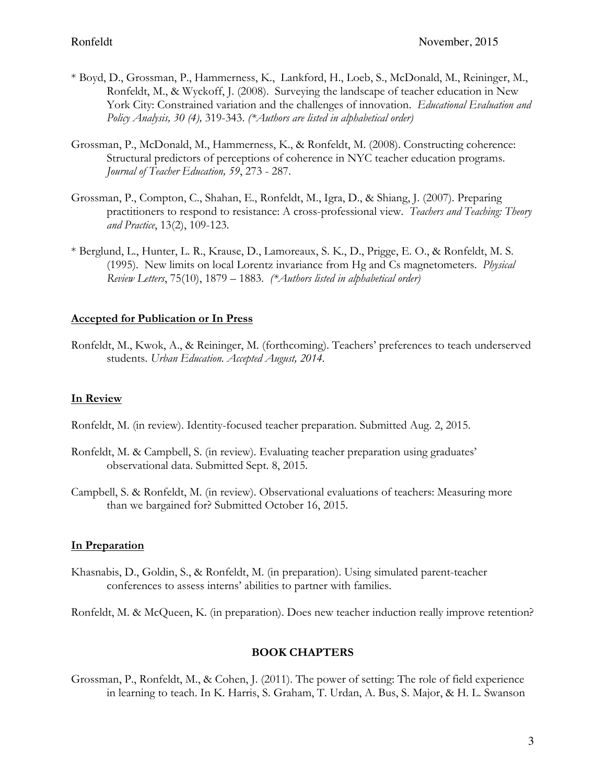- \* Boyd, D., Grossman, P., Hammerness, K., Lankford, H., Loeb, S., McDonald, M., Reininger, M., Ronfeldt, M., & Wyckoff, J. (2008). Surveying the landscape of teacher education in New York City: Constrained variation and the challenges of innovation. *Educational Evaluation and Policy Analysis, 30 (4),* 319-343. *(\*Authors are listed in alphabetical order)*
- Grossman, P., McDonald, M., Hammerness, K., & Ronfeldt, M. (2008). Constructing coherence: Structural predictors of perceptions of coherence in NYC teacher education programs. *Journal of Teacher Education, 59*, 273 - 287.
- Grossman, P., Compton, C., Shahan, E., Ronfeldt, M., Igra, D., & Shiang, J. (2007). Preparing practitioners to respond to resistance: A cross-professional view. *Teachers and Teaching: Theory and Practice*, 13(2), 109-123.
- \* Berglund, L., Hunter, L. R., Krause, D., Lamoreaux, S. K., D., Prigge, E. O., & Ronfeldt, M. S. (1995). New limits on local Lorentz invariance from Hg and Cs magnetometers. *Physical Review Letters*, 75(10), 1879 – 1883. *(\*Authors listed in alphabetical order)*

### **Accepted for Publication or In Press**

Ronfeldt, M., Kwok, A., & Reininger, M. (forthcoming). Teachers' preferences to teach underserved students. *Urban Education. Accepted August, 2014.*

## **In Review**

- Ronfeldt, M. (in review). Identity-focused teacher preparation. Submitted Aug. 2, 2015.
- Ronfeldt, M. & Campbell, S. (in review). Evaluating teacher preparation using graduates' observational data. Submitted Sept. 8, 2015.
- Campbell, S. & Ronfeldt, M. (in review). Observational evaluations of teachers: Measuring more than we bargained for? Submitted October 16, 2015.

## **In Preparation**

Khasnabis, D., Goldin, S., & Ronfeldt, M. (in preparation). Using simulated parent-teacher conferences to assess interns' abilities to partner with families.

Ronfeldt, M. & McQueen, K. (in preparation). Does new teacher induction really improve retention?

#### **BOOK CHAPTERS**

Grossman, P., Ronfeldt, M., & Cohen, J. (2011). The power of setting: The role of field experience in learning to teach. In K. Harris, S. Graham, T. Urdan, A. Bus, S. Major, & H. L. Swanson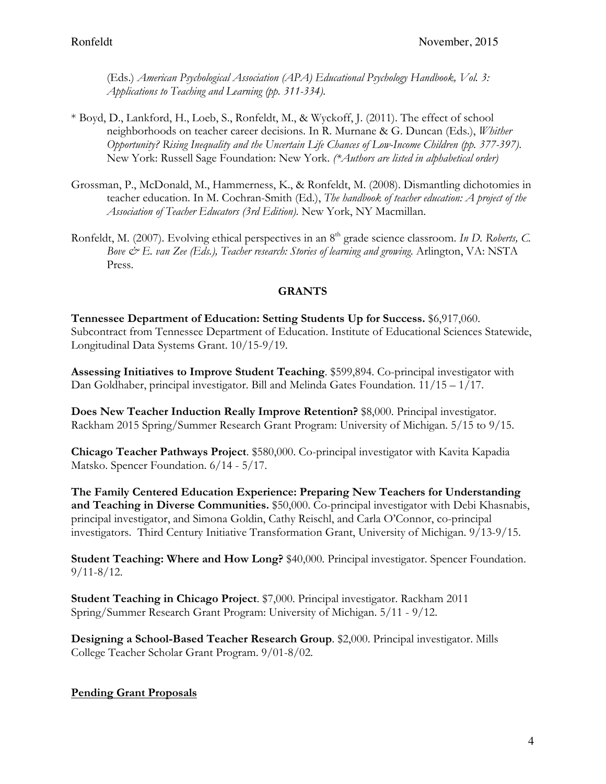(Eds.) *American Psychological Association (APA) Educational Psychology Handbook, Vol. 3: Applications to Teaching and Learning (pp. 311-334).* 

- \* Boyd, D., Lankford, H., Loeb, S., Ronfeldt, M., & Wyckoff, J. (2011). The effect of school neighborhoods on teacher career decisions. In R. Murnane & G. Duncan (Eds.), *Whither Opportunity? Rising Inequality and the Uncertain Life Chances of Low-Income Children (pp. 377-397)*. New York: Russell Sage Foundation: New York. *(\*Authors are listed in alphabetical order)*
- Grossman, P., McDonald, M., Hammerness, K., & Ronfeldt, M. (2008). Dismantling dichotomies in teacher education. In M. Cochran-Smith (Ed.), *The handbook of teacher education: A project of the Association of Teacher Educators (3rd Edition).* New York, NY Macmillan.
- Ronfeldt, M. (2007). Evolving ethical perspectives in an 8<sup>th</sup> grade science classroom. *In D. Roberts, C. Bove & E. van Zee (Eds.), Teacher research: Stories of learning and growing*. Arlington, VA: NSTA Press.

## **GRANTS**

**Tennessee Department of Education: Setting Students Up for Success.** \$6,917,060. Subcontract from Tennessee Department of Education. Institute of Educational Sciences Statewide, Longitudinal Data Systems Grant. 10/15-9/19.

**Assessing Initiatives to Improve Student Teaching**. \$599,894. Co-principal investigator with Dan Goldhaber, principal investigator. Bill and Melinda Gates Foundation. 11/15 – 1/17.

**Does New Teacher Induction Really Improve Retention?** \$8,000. Principal investigator. Rackham 2015 Spring/Summer Research Grant Program: University of Michigan. 5/15 to 9/15.

**Chicago Teacher Pathways Project**. \$580,000. Co-principal investigator with Kavita Kapadia Matsko. Spencer Foundation. 6/14 - 5/17.

**The Family Centered Education Experience: Preparing New Teachers for Understanding and Teaching in Diverse Communities.** \$50,000. Co-principal investigator with Debi Khasnabis, principal investigator, and Simona Goldin, Cathy Reischl, and Carla O'Connor, co-principal investigators. Third Century Initiative Transformation Grant, University of Michigan. 9/13-9/15.

**Student Teaching: Where and How Long?** \$40,000. Principal investigator. Spencer Foundation. 9/11-8/12.

**Student Teaching in Chicago Project**. \$7,000. Principal investigator. Rackham 2011 Spring/Summer Research Grant Program: University of Michigan. 5/11 - 9/12.

**Designing a School-Based Teacher Research Group**. \$2,000. Principal investigator. Mills College Teacher Scholar Grant Program. 9/01-8/02.

#### **Pending Grant Proposals**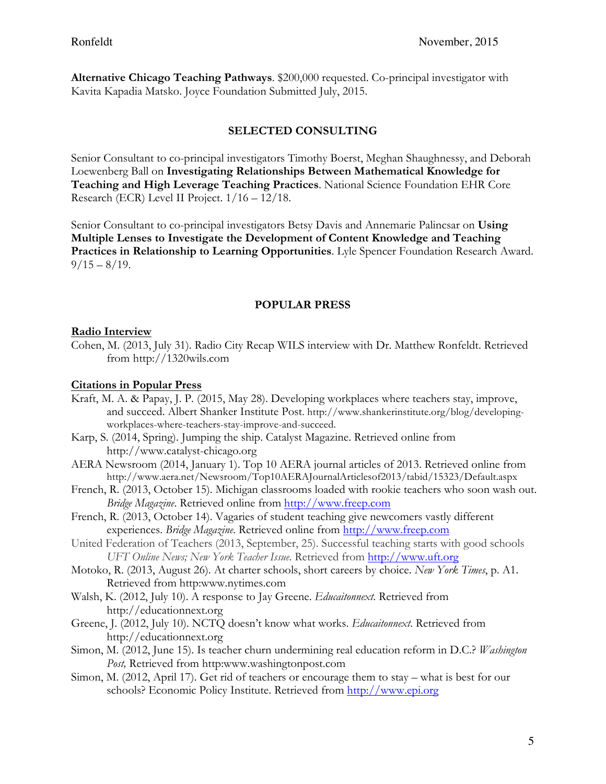**Alternative Chicago Teaching Pathways**. \$200,000 requested. Co-principal investigator with Kavita Kapadia Matsko. Joyce Foundation Submitted July, 2015.

## **SELECTED CONSULTING**

Senior Consultant to co-principal investigators Timothy Boerst, Meghan Shaughnessy, and Deborah Loewenberg Ball on **Investigating Relationships Between Mathematical Knowledge for Teaching and High Leverage Teaching Practices**. National Science Foundation EHR Core Research (ECR) Level II Project. 1/16 – 12/18.

Senior Consultant to co-principal investigators Betsy Davis and Annemarie Palincsar on **Using Multiple Lenses to Investigate the Development of Content Knowledge and Teaching Practices in Relationship to Learning Opportunities**. Lyle Spencer Foundation Research Award.  $9/15 - 8/19$ .

## **POPULAR PRESS**

### **Radio Interview**

Cohen, M. (2013, July 31). Radio City Recap WILS interview with Dr. Matthew Ronfeldt. Retrieved from http://1320wils.com

### **Citations in Popular Press**

- Kraft, M. A. & Papay, J. P. (2015, May 28). Developing workplaces where teachers stay, improve, and succeed. Albert Shanker Institute Post. http://www.shankerinstitute.org/blog/developingworkplaces-where-teachers-stay-improve-and-succeed.
- Karp, S. (2014, Spring). Jumping the ship. Catalyst Magazine. Retrieved online from http://www.catalyst-chicago.org
- AERA Newsroom (2014, January 1). Top 10 AERA journal articles of 2013. Retrieved online from http://www.aera.net/Newsroom/Top10AERAJournalArticlesof2013/tabid/15323/Default.aspx
- French, R. (2013, October 15). Michigan classrooms loaded with rookie teachers who soon wash out. *Bridge Magazine*. Retrieved online from http://www.freep.com
- French, R. (2013, October 14). Vagaries of student teaching give newcomers vastly different experiences. *Bridge Magazine*. Retrieved online from http://www.freep.com
- United Federation of Teachers (2013, September, 25). Successful teaching starts with good schools *UFT Online News; New York Teacher Issue*. Retrieved from http://www.uft.org
- Motoko, R. (2013, August 26). At charter schools, short careers by choice. *New York Times*, p. A1. Retrieved from http:www.nytimes.com
- Walsh, K. (2012, July 10). A response to Jay Greene. *Educaitonnext*. Retrieved from http://educationnext.org
- Greene, J. (2012, July 10). NCTQ doesn't know what works. *Educaitonnext*. Retrieved from http://educationnext.org
- Simon, M. (2012, June 15). Is teacher churn undermining real education reform in D.C.? *Washington Post,* Retrieved from http:www.washingtonpost.com
- Simon, M. (2012, April 17). Get rid of teachers or encourage them to stay what is best for our schools? Economic Policy Institute. Retrieved from http://www.epi.org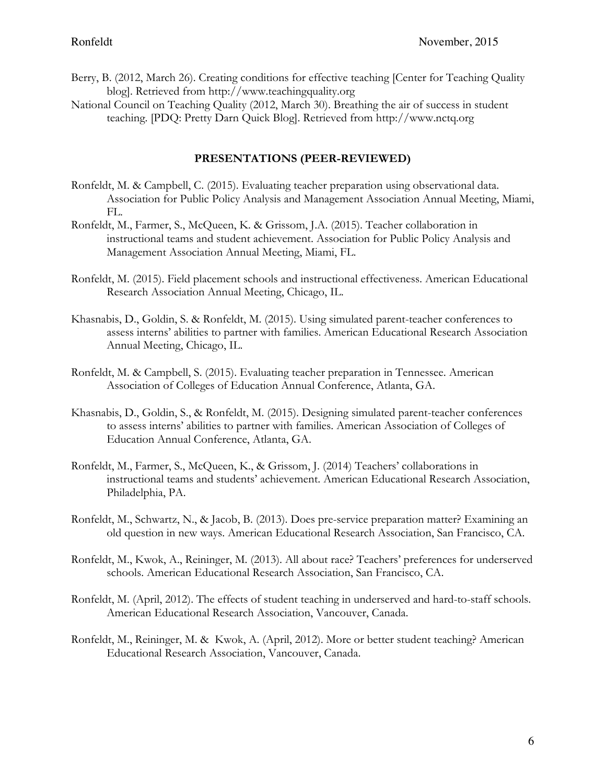- Berry, B. (2012, March 26). Creating conditions for effective teaching [Center for Teaching Quality blog]. Retrieved from http://www.teachingquality.org
- National Council on Teaching Quality (2012, March 30). Breathing the air of success in student teaching. [PDQ: Pretty Darn Quick Blog]. Retrieved from http://www.nctq.org

## **PRESENTATIONS (PEER-REVIEWED)**

- Ronfeldt, M. & Campbell, C. (2015). Evaluating teacher preparation using observational data. Association for Public Policy Analysis and Management Association Annual Meeting, Miami, FL.
- Ronfeldt, M., Farmer, S., McQueen, K. & Grissom, J.A. (2015). Teacher collaboration in instructional teams and student achievement. Association for Public Policy Analysis and Management Association Annual Meeting, Miami, FL.
- Ronfeldt, M. (2015). Field placement schools and instructional effectiveness. American Educational Research Association Annual Meeting, Chicago, IL.
- Khasnabis, D., Goldin, S. & Ronfeldt, M. (2015). Using simulated parent-teacher conferences to assess interns' abilities to partner with families. American Educational Research Association Annual Meeting, Chicago, IL.
- Ronfeldt, M. & Campbell, S. (2015). Evaluating teacher preparation in Tennessee. American Association of Colleges of Education Annual Conference, Atlanta, GA.
- Khasnabis, D., Goldin, S., & Ronfeldt, M. (2015). Designing simulated parent-teacher conferences to assess interns' abilities to partner with families. American Association of Colleges of Education Annual Conference, Atlanta, GA.
- Ronfeldt, M., Farmer, S., McQueen, K., & Grissom, J. (2014) Teachers' collaborations in instructional teams and students' achievement. American Educational Research Association, Philadelphia, PA.
- Ronfeldt, M., Schwartz, N., & Jacob, B. (2013). Does pre-service preparation matter? Examining an old question in new ways. American Educational Research Association, San Francisco, CA.
- Ronfeldt, M., Kwok, A., Reininger, M. (2013). All about race? Teachers' preferences for underserved schools. American Educational Research Association, San Francisco, CA.
- Ronfeldt, M. (April, 2012). The effects of student teaching in underserved and hard-to-staff schools. American Educational Research Association, Vancouver, Canada.
- Ronfeldt, M., Reininger, M. & Kwok, A. (April, 2012). More or better student teaching? American Educational Research Association, Vancouver, Canada.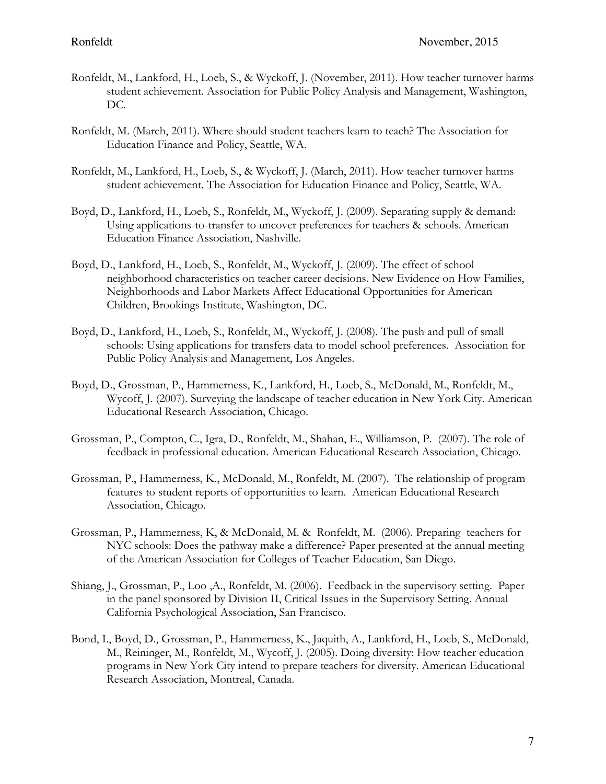- Ronfeldt, M., Lankford, H., Loeb, S., & Wyckoff, J. (November, 2011). How teacher turnover harms student achievement. Association for Public Policy Analysis and Management, Washington, DC.
- Ronfeldt, M. (March, 2011). Where should student teachers learn to teach? The Association for Education Finance and Policy, Seattle, WA.
- Ronfeldt, M., Lankford, H., Loeb, S., & Wyckoff, J. (March, 2011). How teacher turnover harms student achievement. The Association for Education Finance and Policy, Seattle, WA.
- Boyd, D., Lankford, H., Loeb, S., Ronfeldt, M., Wyckoff, J. (2009). Separating supply & demand: Using applications-to-transfer to uncover preferences for teachers & schools. American Education Finance Association, Nashville.
- Boyd, D., Lankford, H., Loeb, S., Ronfeldt, M., Wyckoff, J. (2009). The effect of school neighborhood characteristics on teacher career decisions. New Evidence on How Families, Neighborhoods and Labor Markets Affect Educational Opportunities for American Children, Brookings Institute, Washington, DC.
- Boyd, D., Lankford, H., Loeb, S., Ronfeldt, M., Wyckoff, J. (2008). The push and pull of small schools: Using applications for transfers data to model school preferences. Association for Public Policy Analysis and Management, Los Angeles.
- Boyd, D., Grossman, P., Hammerness, K., Lankford, H., Loeb, S., McDonald, M., Ronfeldt, M., Wycoff, J. (2007). Surveying the landscape of teacher education in New York City. American Educational Research Association, Chicago.
- Grossman, P., Compton, C., Igra, D., Ronfeldt, M., Shahan, E., Williamson, P. (2007). The role of feedback in professional education. American Educational Research Association, Chicago.
- Grossman, P., Hammerness, K., McDonald, M., Ronfeldt, M. (2007). The relationship of program features to student reports of opportunities to learn. American Educational Research Association, Chicago.
- Grossman, P., Hammerness, K, & McDonald, M. & Ronfeldt, M. (2006). Preparing teachers for NYC schools: Does the pathway make a difference? Paper presented at the annual meeting of the American Association for Colleges of Teacher Education, San Diego.
- Shiang, J., Grossman, P., Loo ,A., Ronfeldt, M. (2006). Feedback in the supervisory setting. Paper in the panel sponsored by Division II, Critical Issues in the Supervisory Setting. Annual California Psychological Association, San Francisco.
- Bond, I., Boyd, D., Grossman, P., Hammerness, K., Jaquith, A., Lankford, H., Loeb, S., McDonald, M., Reininger, M., Ronfeldt, M., Wycoff, J. (2005). Doing diversity: How teacher education programs in New York City intend to prepare teachers for diversity. American Educational Research Association, Montreal, Canada.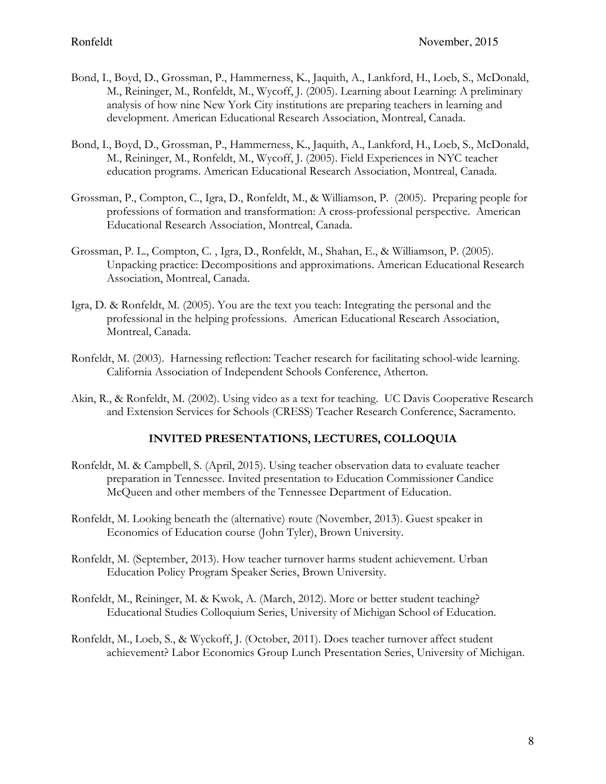- Bond, I., Boyd, D., Grossman, P., Hammerness, K., Jaquith, A., Lankford, H., Loeb, S., McDonald, M., Reininger, M., Ronfeldt, M., Wycoff, J. (2005). Learning about Learning: A preliminary analysis of how nine New York City institutions are preparing teachers in learning and development. American Educational Research Association, Montreal, Canada.
- Bond, I., Boyd, D., Grossman, P., Hammerness, K., Jaquith, A., Lankford, H., Loeb, S., McDonald, M., Reininger, M., Ronfeldt, M., Wycoff, J. (2005). Field Experiences in NYC teacher education programs. American Educational Research Association, Montreal, Canada.
- Grossman, P., Compton, C., Igra, D., Ronfeldt, M., & Williamson, P. (2005). Preparing people for professions of formation and transformation: A cross-professional perspective. American Educational Research Association, Montreal, Canada.
- Grossman, P. L., Compton, C. , Igra, D., Ronfeldt, M., Shahan, E., & Williamson, P. (2005). Unpacking practice: Decompositions and approximations. American Educational Research Association, Montreal, Canada.
- Igra, D. & Ronfeldt, M. (2005). You are the text you teach: Integrating the personal and the professional in the helping professions. American Educational Research Association, Montreal, Canada.
- Ronfeldt, M. (2003). Harnessing reflection: Teacher research for facilitating school-wide learning. California Association of Independent Schools Conference, Atherton.
- Akin, R., & Ronfeldt, M. (2002). Using video as a text for teaching. UC Davis Cooperative Research and Extension Services for Schools (CRESS) Teacher Research Conference, Sacramento.

## **INVITED PRESENTATIONS, LECTURES, COLLOQUIA**

- Ronfeldt, M. & Campbell, S. (April, 2015). Using teacher observation data to evaluate teacher preparation in Tennessee. Invited presentation to Education Commissioner Candice McQueen and other members of the Tennessee Department of Education.
- Ronfeldt, M. Looking beneath the (alternative) route (November, 2013). Guest speaker in Economics of Education course (John Tyler), Brown University.
- Ronfeldt, M. (September, 2013). How teacher turnover harms student achievement. Urban Education Policy Program Speaker Series, Brown University.
- Ronfeldt, M., Reininger, M. & Kwok, A. (March, 2012). More or better student teaching? Educational Studies Colloquium Series, University of Michigan School of Education.
- Ronfeldt, M., Loeb, S., & Wyckoff, J. (October, 2011). Does teacher turnover affect student achievement? Labor Economics Group Lunch Presentation Series, University of Michigan.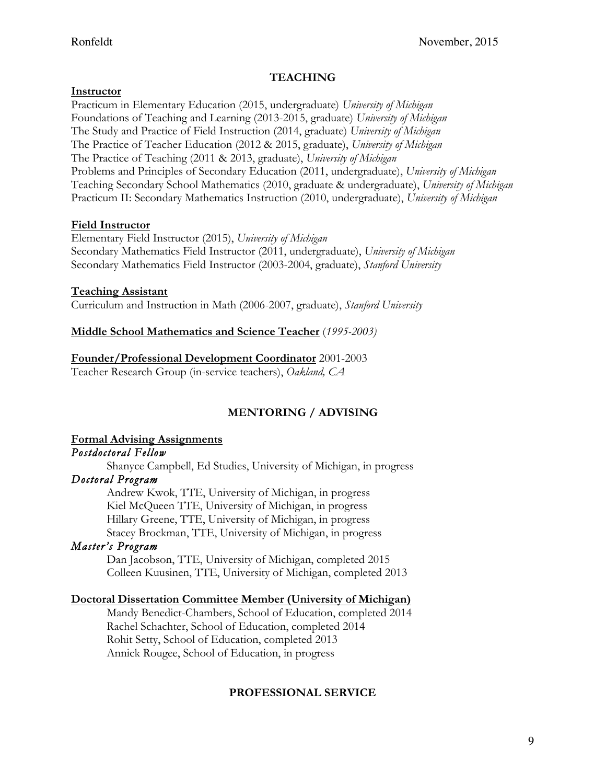### **TEACHING**

### **Instructor**

Practicum in Elementary Education (2015, undergraduate) *University of Michigan* Foundations of Teaching and Learning (2013-2015, graduate) *University of Michigan* The Study and Practice of Field Instruction (2014, graduate) *University of Michigan* The Practice of Teacher Education (2012 & 2015, graduate), *University of Michigan* The Practice of Teaching (2011 & 2013, graduate), *University of Michigan*  Problems and Principles of Secondary Education (2011, undergraduate), *University of Michigan* Teaching Secondary School Mathematics (2010, graduate & undergraduate), *University of Michigan* Practicum II: Secondary Mathematics Instruction (2010, undergraduate), *University of Michigan*

### **Field Instructor**

Elementary Field Instructor (2015), *University of Michigan* Secondary Mathematics Field Instructor (2011, undergraduate), *University of Michigan* Secondary Mathematics Field Instructor (2003-2004, graduate), *Stanford University*

### **Teaching Assistant**

Curriculum and Instruction in Math (2006-2007, graduate), *Stanford University* 

## **Middle School Mathematics and Science Teacher** (*1995-2003)*

### **Founder/Professional Development Coordinator** 2001-2003

Teacher Research Group (in-service teachers), *Oakland, CA*

## **MENTORING / ADVISING**

# **Formal Advising Assignments**

*Postdoctoral Fellow* 

Shanyce Campbell, Ed Studies, University of Michigan, in progress

### *Doctoral Program*

Andrew Kwok, TTE, University of Michigan, in progress Kiel McQueen TTE, University of Michigan, in progress Hillary Greene, TTE, University of Michigan, in progress Stacey Brockman, TTE, University of Michigan, in progress

## *Master's Program*

Dan Jacobson, TTE, University of Michigan, completed 2015 Colleen Kuusinen, TTE, University of Michigan, completed 2013

## **Doctoral Dissertation Committee Member (University of Michigan)**

Mandy Benedict-Chambers, School of Education, completed 2014 Rachel Schachter, School of Education, completed 2014 Rohit Setty, School of Education, completed 2013 Annick Rougee, School of Education, in progress

#### **PROFESSIONAL SERVICE**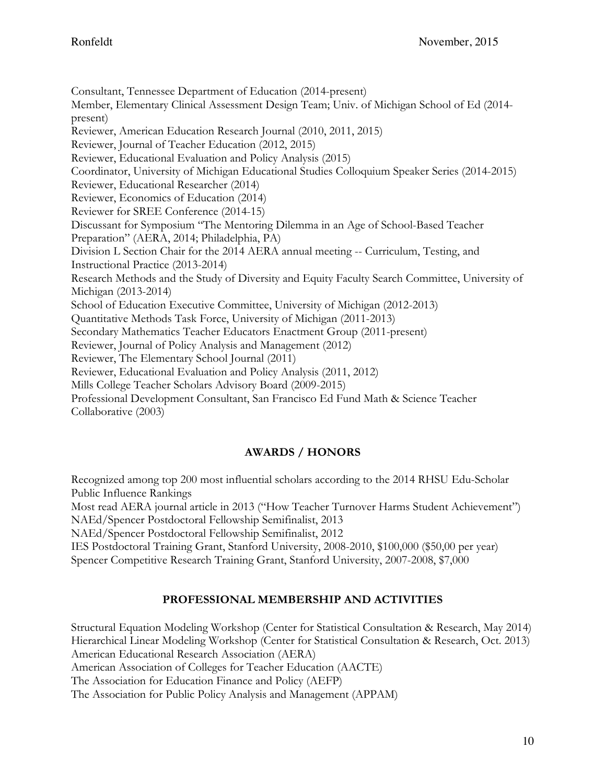Consultant, Tennessee Department of Education (2014-present) Member, Elementary Clinical Assessment Design Team; Univ. of Michigan School of Ed (2014 present) Reviewer, American Education Research Journal (2010, 2011, 2015) Reviewer, Journal of Teacher Education (2012, 2015) Reviewer, Educational Evaluation and Policy Analysis (2015) Coordinator, University of Michigan Educational Studies Colloquium Speaker Series (2014-2015) Reviewer, Educational Researcher (2014) Reviewer, Economics of Education (2014) Reviewer for SREE Conference (2014-15) Discussant for Symposium "The Mentoring Dilemma in an Age of School-Based Teacher Preparation" (AERA, 2014; Philadelphia, PA) Division L Section Chair for the 2014 AERA annual meeting -- Curriculum, Testing, and Instructional Practice (2013-2014) Research Methods and the Study of Diversity and Equity Faculty Search Committee, University of Michigan (2013-2014) School of Education Executive Committee, University of Michigan (2012-2013) Quantitative Methods Task Force, University of Michigan (2011-2013) Secondary Mathematics Teacher Educators Enactment Group (2011-present) Reviewer, Journal of Policy Analysis and Management (2012) Reviewer, The Elementary School Journal (2011) Reviewer, Educational Evaluation and Policy Analysis (2011, 2012) Mills College Teacher Scholars Advisory Board (2009-2015) Professional Development Consultant, San Francisco Ed Fund Math & Science Teacher Collaborative (2003)

## **AWARDS / HONORS**

Recognized among top 200 most influential scholars according to the 2014 RHSU Edu-Scholar Public Influence Rankings

Most read AERA journal article in 2013 ("How Teacher Turnover Harms Student Achievement") NAEd/Spencer Postdoctoral Fellowship Semifinalist, 2013

NAEd/Spencer Postdoctoral Fellowship Semifinalist, 2012

IES Postdoctoral Training Grant, Stanford University, 2008-2010, \$100,000 (\$50,00 per year)

Spencer Competitive Research Training Grant, Stanford University, 2007-2008, \$7,000

## **PROFESSIONAL MEMBERSHIP AND ACTIVITIES**

Structural Equation Modeling Workshop (Center for Statistical Consultation & Research, May 2014) Hierarchical Linear Modeling Workshop (Center for Statistical Consultation & Research, Oct. 2013) American Educational Research Association (AERA) American Association of Colleges for Teacher Education (AACTE) The Association for Education Finance and Policy (AEFP) The Association for Public Policy Analysis and Management (APPAM)